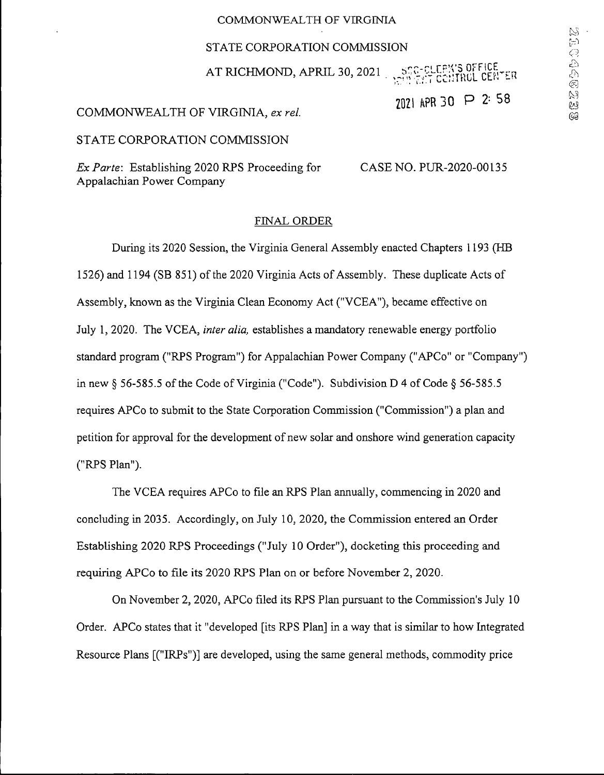### **COMMONWEALTH OF VIRGINIA**

#### STATE CORPORATION COMMISSION

AT RICHMOND, APRIL 30, 2021  $\frac{1}{2}$   $\frac{1}{2}$   $\frac{1}{2}$   $\frac{1}{2}$   $\frac{1}{2}$   $\frac{1}{2}$   $\frac{1}{2}$   $\frac{1}{2}$   $\frac{1}{2}$   $\frac{1}{2}$   $\frac{1}{2}$   $\frac{1}{2}$   $\frac{1}{2}$   $\frac{1}{2}$   $\frac{1}{2}$   $\frac{1}{2}$   $\frac{1}{2}$   $\frac{1}{2}$   $\frac{1}{2}$   $\frac$ **RTCCITROL CENTER** 

2021 APR 30 P 2:58

## COMMONWEALTH OF VIRGINIA, ex re/.

STATE CORPORATION COMMISSION

*Ex Parte:* Establishing 2020 RPS Proceeding for CASE NO. PUR-2020-00135 Appalachian Power Company

#### FINAL ORDER

During its 2020 Session, the Virginia General Assembly enacted Chapters 1193 (HB 1526) and 1194 (SB 851) of the 2020 Virginia Acts of Assembly. These duplicate Acts of Assembly, known as the Virginia Clean Economy Act ("VCEA"), became effective on July 1, 2020. The VCEA, *inter alia,* establishes a mandatory renewable energy portfolio standard program ("RPS Program") for Appalachian Power Company ("APCo" or "Company") in new  $\S$  56-585.5 of the Code of Virginia ("Code"). Subdivision D 4 of Code  $\S$  56-585.5 requires APCo to submit to the State Corporation Commission ("Commission") a plan and petition for approval for the development of new solar and onshore wind generation capacity ("RPS Plan").

The VCEA requires APCo to file an RPS Plan annually, commencing in 2020 and concluding in 2035. Accordingly, on July 10, 2020, the Commission entered an Order Establishing 2020 RPS Proceedings ("July 10 Order"), docketing this proceeding and requiring APCo to file its 2020 RPS Plan on or before November 2, 2020.

On November 2, 2020, APCo filed its RPS Plan pursuant to the Commission's July 10 Order. APCo states that it "developed [its RPS Plan] in a way that is similar to how Integrated Resource Plans [("IRPs")] are developed, using the same general methods, commodity price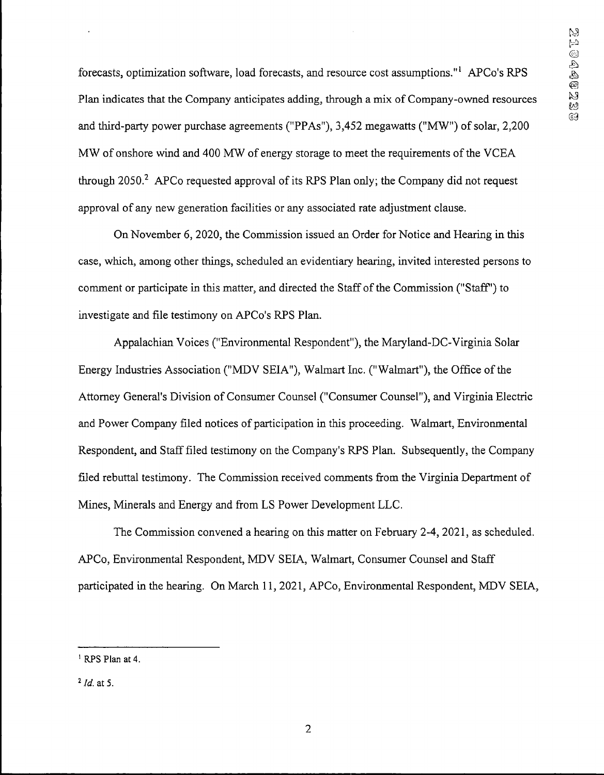forecasts, optimization software, load forecasts, and resource cost assumptions."<sup>1</sup> APCo's RPS Plan indicates that the Company anticipates adding, through a mix of Company-owned resources and third-party power purchase agreements ("PPAs"), 3,452 megawatts ("MW") of solar, 2,200 MW of onshore wind and 400 MW of energy storage to meet the requirements of the VCEA through  $2050<sup>2</sup>$  APCo requested approval of its RPS Plan only; the Company did not request approval of any new generation facilities or any associated rate adjustment clause.

On November 6, 2020, the Commission issued an Order for Notice and Hearing in this case, which, among other things, scheduled an evidentiary hearing, invited interested persons to comment or participate in this matter, and directed the Staff ofthe Commission ("Staff') to investigate and file testimony on APCo's RPS Plan.

Appalachian Voices ("Environmental Respondent"), the Maryland-DC-Virginia Solar Energy Industries Association ("MDV SEIA"), Walmart Inc. ("Walmart"), the Office of the Attorney General's Division of Consumer Counsel ("Consumer Counsel"), and Virginia Electric and Power Company filed notices of participation in this proceeding. Walmart, Environmental Respondent, and Stafffiled testimony on the Company's RPS Plan. Subsequently, the Company filed rebuttal testimony. The Commission received comments from the Virginia Department of Mines, Minerals and Energy and from LS Power Development LLC.

The Commission convened a hearing on this matter on February 2-4, 2021, as scheduled. APCo, Environmental Respondent, MDV SEIA, Walmart, Consumer Counsel and Staff participated in the hearing. On March 11, 2021, APCo, Environmental Respondent, MDV SEIA,

**<sup>1</sup> RPS Plan at 4.**

*<sup>1</sup> Id.* **at 5.**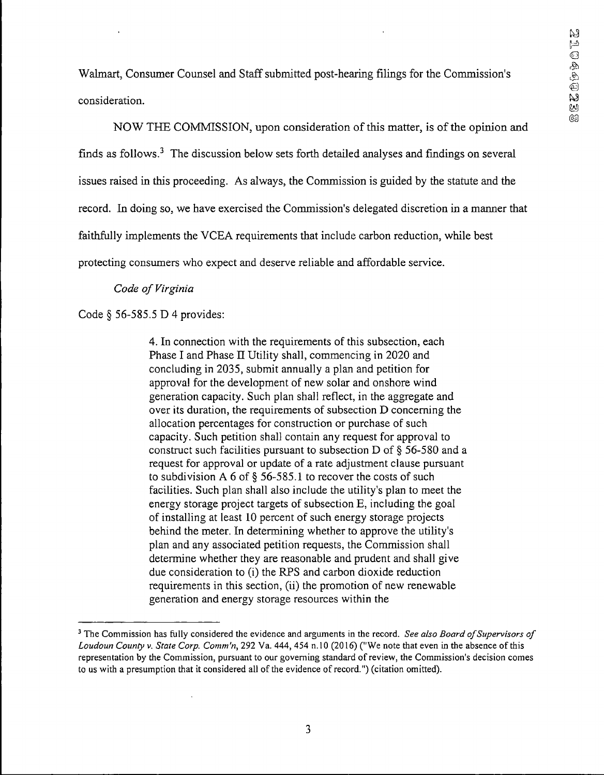Walmart, Consumer Counsel and Staff submitted post-hearing filings for the Commission's consideration.

NOW THE COMMISSION, upon consideration of this matter, is of the opinion and finds as follows. $3$  The discussion below sets forth detailed analyses and findings on several issues raised in this proceeding. As always, the Commission is guided by the statute and the record. In doing so, we have exercised the Commission's delegated discretion in a manner that faithfully implements the YCEA requirements that include carbon reduction, while best protecting consumers who expect and deserve reliable and affordable service.

## *Code of Virginia*

# Code § 56-585.5 D 4 provides:

4. In connection with the requirements of this subsection, each Phase I and Phase II Utility shall, commencing in 2020 and concluding in 2035, submit annually a plan and petition for approval for the development of new solar and onshore wind generation capacity. Such plan shall reflect, in the aggregate and over its duration, the requirements of subsection D concerning the allocation percentages for construction or purchase of such capacity. Such petition shall contain any request for approval to construct such facilities pursuant to subsection D of § 56-580 and a request for approval or update of a rate adjustment clause pursuant to subdivision A 6 of § 56-585.1 to recover the costs of such facilities. Such plan shall also include the utility's plan to meet the energy storage project targets of subsection E, including the goal of installing at least 10 percent of such energy storage projects behind the meter. In determining whether to approve the utility's plan and any associated petition requests, the Commission shall determine whether they are reasonable and prudent and shall give due consideration to (i) the RPS and carbon dioxide reduction requirements in this section, (ii) the promotion of new renewable generation and energy storage resources within the

<sup>&</sup>lt;sup>3</sup> The Commission has fully considered the evidence and arguments in the record. See also Board of Supervisors of Loudoun County v. State Corp. Comm'n, 292 Va. 444, 454 n.10 (2016) ("We note that even in the absence of this **representation by the Commission, pursuant to our governing standard of review, the Commission's decision comes to us with a presumption that it considered all ofthe evidence of record.") (citation omitted).**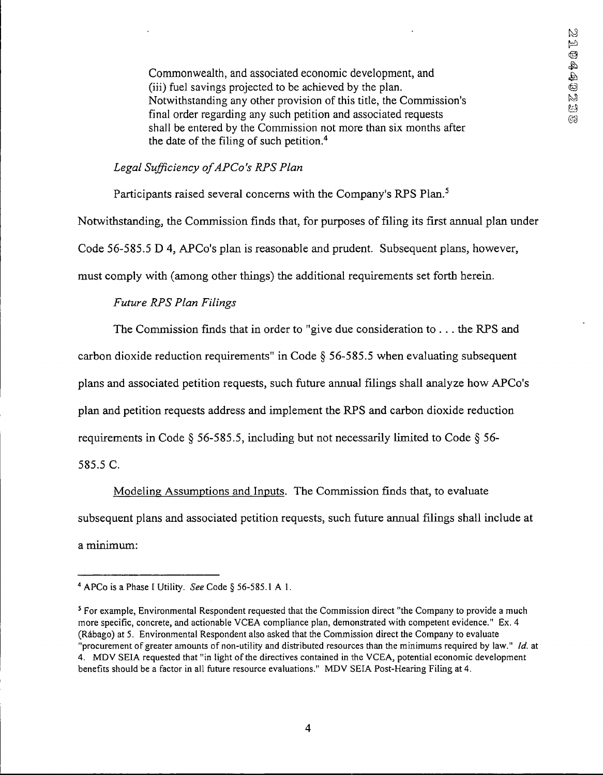Commonwealth, and associated economic development, and (iii) fuel savings projected to be achieved by the plan. Notwithstanding any other provision of this title, the Commission's final order regarding any such petition and associated requests shall be entered by the Commission not more than six months after the date of the filing of such petition.4

# *Legal Sufficiency ofAPCo's KPS Plan*

Participants raised several concerns with the Company's RPS Plan.<sup>5</sup>

Notwithstanding, the Commission finds that, for purposes offiling its first annual plan under

Code 56-585.5 D 4, APCo's plan is reasonable and prudent. Subsequent plans, however,

must comply with (among other things) the additional requirements set forth herein.

# *Future RPS Plan Filings*

The Commission finds that in order to "give due consideration to ... the RPS and

carbon dioxide reduction requirements" in Code § 56-585.5 when evaluating subsequent

plans and associated petition requests, such future annual filings shall analyze how APCo's

plan and petition requests address and implement the RPS and carbon dioxide reduction

requirements in Code § 56-585.5, including but not necessarily limited to Code § 56-

585.5 C.

Modeling Assumptions and Inputs. The Commission finds that, to evaluate subsequent plans and associated petition requests, such future annual filings shall include at a minimum:

**<sup>4</sup> APCo is a Phase I Utility.** *See* **Code § 56-585.1 A 1.**

**<sup>5</sup> For example, Environmental Respondent requested that the Commission direct "the Company to provide a much more specific, concrete, and actionable VCEA compliance plan, demonstrated with competent evidence." Ex. 4 (Rdbago) at 5. Environmental Respondent also asked that the Commission direct the Company to evaluate** "procurement of greater amounts of non-utility and distributed resources than the minimums required by law." *Id.* at **4. MDV SEIA requested that "in light ofthe directives contained in the VCEA, potential economic development benefits should be a factor in all future resource evaluations." MDV SEIA Post-Hearing Filing at 4.**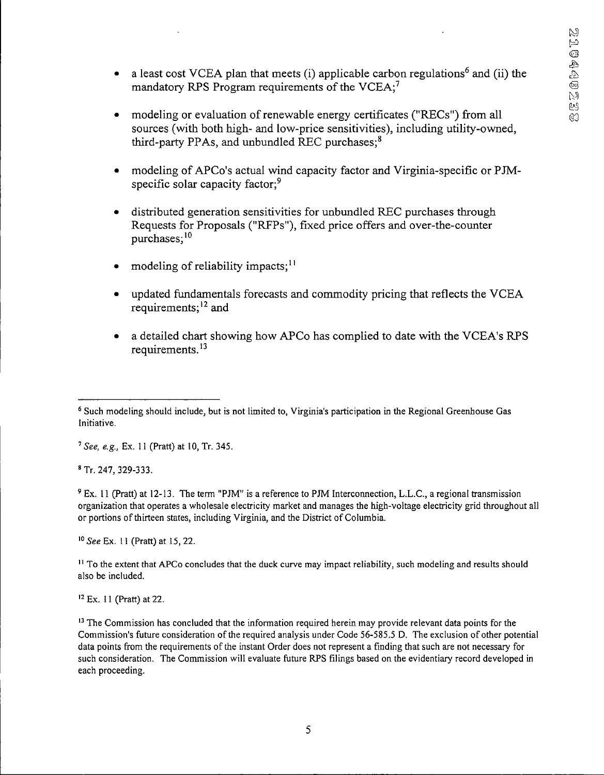- a least cost VCEA plan that meets (i) applicable carbon regulations<sup>6</sup> and (ii) the mandatory RPS Program requirements of the  $VCEA$ ;<sup>7</sup>
- modeling or evaluation of renewable energy certificates ("RECs") from all sources (with both high- and low-price sensitivities), including utility-owned, third-party PPAs, and unbundled REC purchases;<sup>8</sup>
- modeling ofAPCo's actual wind capacity factor and Virginia-specific or PJMspecific solar capacity factor;<sup>9</sup>
- distributed generation sensitivities for unbundled REC purchases through Requests for Proposals ("RFPs"), fixed price offers and over-the-counter purchases;<sup>10</sup>
- modeling of reliability impacts;<sup>11</sup>
- updated fundamentals forecasts and commodity pricing that reflects the VCEA requirements;<sup>12</sup> and
- a detailed chart showing how APCo has complied to date with the VCEA's RPS requirements.<sup>13</sup>

**<sup>7</sup>** *See, e.g.,* **Ex. 11 (Pratt) at 10, Tr. 345.**

**<sup>8</sup> Tr. 247, 329-333.**

<sup>9</sup> Ex. 11 (Pratt) at 12-13. The term "PJM" is a reference to PJM Interconnection, L.L.C., a regional transmission **organization that operates a wholesale electricity market and manages the high-voltage electricity grid throughout all or portions ofthirteen states, including Virginia, and the District of Columbia.**

**<sup>10</sup>** *See* **Ex. <sup>11</sup> (Pratt) at 15,22.**

 $<sup>11</sup>$  To the extent that APCo concludes that the duck curve may impact reliability, such modeling and results should</sup> **also be included.**

**<sup>12</sup> Ex. 11 (Pratt) at 22.**

<sup>13</sup> The Commission has concluded that the information required herein may provide relevant data points for the **Commission's future consideration ofthe required analysis under Code 56-585.5 D. The exclusion of other potential** data points from the requirements of the instant Order does not represent a finding that such are not necessary for **such consideration. The Commission will evaluate future RPS filings based on the evidentiary record developed in each proceeding.**

<sup>&</sup>lt;sup>6</sup> Such modeling should include, but is not limited to, Virginia's participation in the Regional Greenhouse Gas **Initiative.**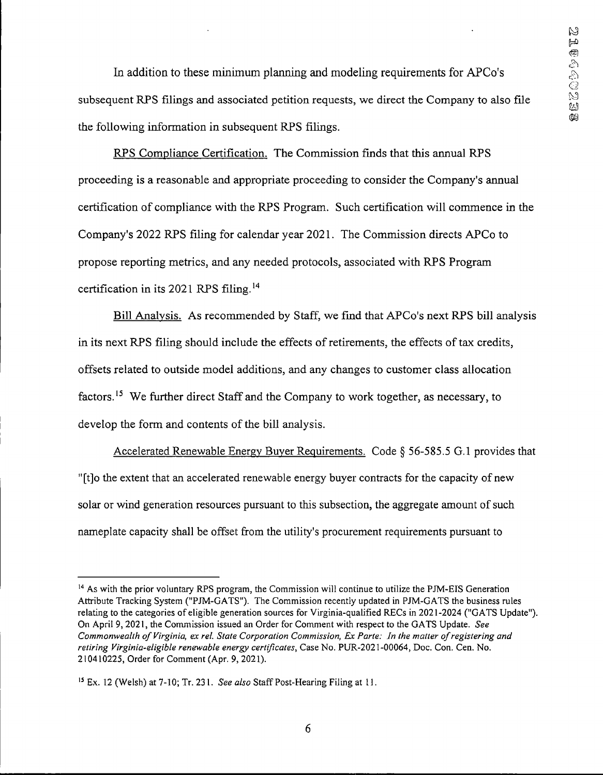In addition to these minimum planning and modeling requirements for APCo's subsequent RPS filings and associated petition requests, we direct the Company to also file the following information in subsequent RPS filings.

RPS Compliance Certification. The Commission finds that this annual RPS proceeding is a reasonable and appropriate proceeding to consider the Company's annual certification of compliance with the RPS Program. Such certification will commence in the Company's 2022 RPS filing for calendar year 2021. The Commission directs APCo to propose reporting metrics, and any needed protocols, associated with RPS Program certification in its 2021 RPS filing.14

Bill Analysis. As recommended by Staff, we find that APCo's next RPS bill analysis in its next RPS filing should include the effects of retirements, the effects of tax credits, offsets related to outside model additions, and any changes to customer class allocation factors.15 We further direct Staff and the Company to work together, as necessary, to develop the form and contents of the bill analysis.

Accelerated Renewable Energy Buyer Requirements. Code § 56-585.5 G.l provides that "[t]o the extent that an accelerated renewable energy buyer contracts for the capacity of new solar or wind generation resources pursuant to this subsection, the aggregate amount of such nameplate capacity shall be offset from the utility's procurement requirements pursuant to

<sup>&</sup>lt;sup>14</sup> As with the prior voluntary RPS program, the Commission will continue to utilize the PJM-EIS Generation **Attribute Tracking System ("PJM-GATS"). The Commission recently updated in PJM-GATS the business rules relating to the categories of eligible generation sources for Virginia-qualified RECs in 2021-2024 ("GATS Update"). On April 9,2021, the Commission issued an Order for Comment with respect to the GATS Update.** *See Commonwealth ofVirginia, ex rel. State Corporation Commission, Ex Parte: In the matter ofregistering and retiring Virginia-eligible renewable energy certificates.* **Case No. PUR-2021-00064, Doc. Con. Cen. No. 210410225, Order for Comment (Apr. 9, 2021).**

**<sup>15</sup> Ex. 12 (Welsh) at 7-10; Tr. 231.** *See also* **Staff Post-Hearing Filing at 11.**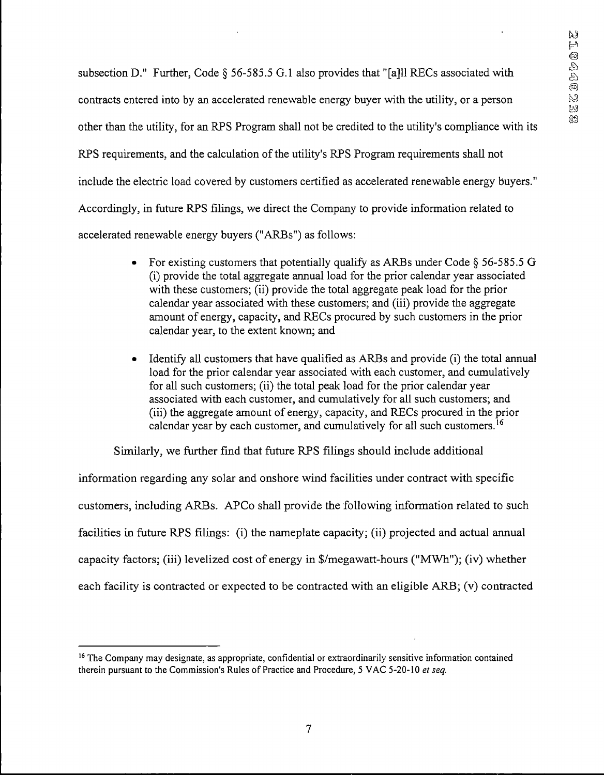subsection D." Further, Code § 56-585.5 G.l also provides that "[a]ll RECs associated with contracts entered into by an accelerated renewable energy buyer with the utility, or a person other than the utility, for an EPS Program shall not be credited to the utility's compliance with its RPS requirements, and the calculation of the utility's RPS Program requirements shall not include the electric load covered by customers certified as accelerated renewable energy buyers." Accordingly, in future EPS filings, we direct the Company to provide information related to accelerated renewable energy buyers ("ARBs") as follows:

- For existing customers that potentially qualify as ARBs under Code § 56-585.5 G (i) provide the total aggregate annual load for the prior calendar year associated with these customers; (ii) provide the total aggregate peak load for the prior calendar year associated with these customers; and (iii) provide the aggregate amount of energy, capacity, and RECs procured by such customers in the prior calendar year, to the extent known; and
- Identify all customers that have qualified as ARBs and provide (i) the total annual load for the prior calendar year associated with each customer, and cumulatively for all such customers; (ii) the total peak load for the prior calendar year associated with each customer, and cumulatively for all such customers; and (iii) the aggregate amount of energy, capacity, and RECs procured in the prior calendar year by each customer, and cumulatively for all such customers.<sup>16</sup>

Similarly, we further fmd that future EPS filings should include additional

information regarding any solar and onshore wind facilities under contract with specific customers, including ARBs. APCo shall provide the following information related to such facilities in future RPS filings: (i) the nameplate capacity; (ii) projected and actual annual capacity factors; (iii) levelized cost of energy in \$/megawatt-hours ("MWh"); (iv) whether each facility is contracted or expected to be contracted with an eligible ARB; (v) contracted

**<sup>16</sup>The Company may designate, as appropriate, confidential or extraordinarily sensitive information contained therein pursuant to the Commission's Rules of Practice and Procedure, 5 VAC 5-20-10** *et seq.*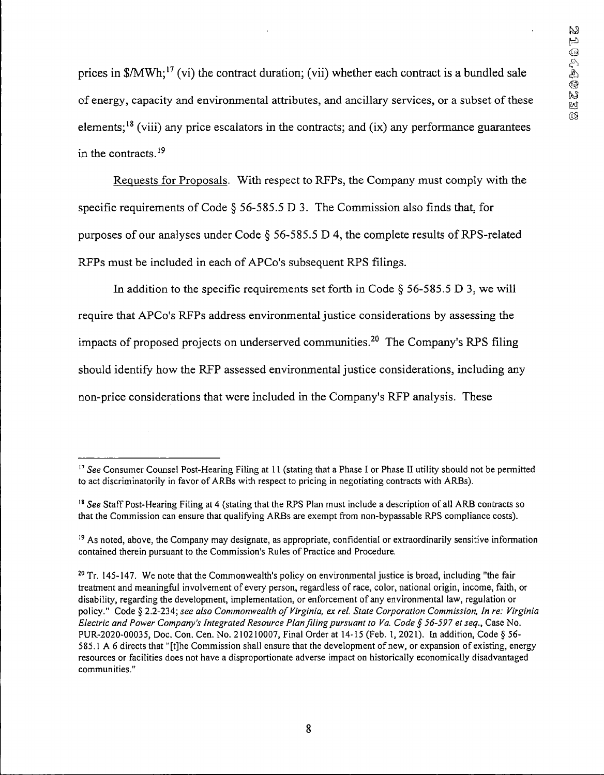prices in \$/MWh;<sup>17</sup> (vi) the contract duration; (vii) whether each contract is a bundled sale of energy, capacity and environmental attributes, and ancillary services, or a subset of these elements;<sup>18</sup> (viii) any price escalators in the contracts; and (ix) any performance guarantees in the contracts.19

Requests for Proposals. With respect to RFPs, the Company must comply with the specific requirements of Code § 56-585.5 D 3. The Commission also finds that, for purposes of our analyses under Code  $\S$  56-585.5 D 4, the complete results of RPS-related RFPs must be included in each of APCo's subsequent RPS filings.

In addition to the specific requirements set forth in Code  $\S$  56-585.5 D 3, we will require that APCo's RFPs address environmental justice considerations by assessing the impacts of proposed projects on underserved communities.<sup>20</sup> The Company's RPS filing should identify how the RFP assessed environmental justice considerations, including any non-price considerations that were included in the Company's RFP analysis. These

<sup>&</sup>lt;sup>17</sup> See Consumer Counsel Post-Hearing Filing at 11 (stating that a Phase I or Phase II utility should not be permitted **to act discriminatorily in favor ofARBs with respect to pricing in negotiating contracts with ARBs).**

<sup>&</sup>lt;sup>18</sup> See Staff Post-Hearing Filing at 4 (stating that the RPS Plan must include a description of all ARB contracts so **that the Commission can ensure that qualifying ARBs are exempt from non-bypassable RPS compliance costs).**

**<sup>19</sup> As noted, above, the Company may designate, as appropriate, confidential or extraordinarily sensitive information contained therein pursuant to the Commission's Rules of Practice and Procedure.**

 $20$  Tr. 145-147. We note that the Commonwealth's policy on environmental justice is broad, including "the fair treatment and meaningful involvement of every person, regardless of race, color, national origin, income, faith, or **disability, regarding the development, implementation, or enforcement of any environmental law, regulation or policy." Code § 2.2-234;** *see also Commonwealth ofVirginia, ex rel. State Corporation Commission, In re: Virginia Electric and Power Company's Integrated Resource Planfiling pursuant to Va. Code § 56-597 etseq..* **Case No.** PUR-2020-00035, Doc. Con. Cen. No. 210210007, Final Order at 14-15 (Feb. 1, 2021). In addition, Code § 56-585.1 A 6 directs that "[t]he Commission shall ensure that the development of new, or expansion of existing, energy **resources or facilities does not have a disproportionate adverse impact on historically economically disadvantaged communities."**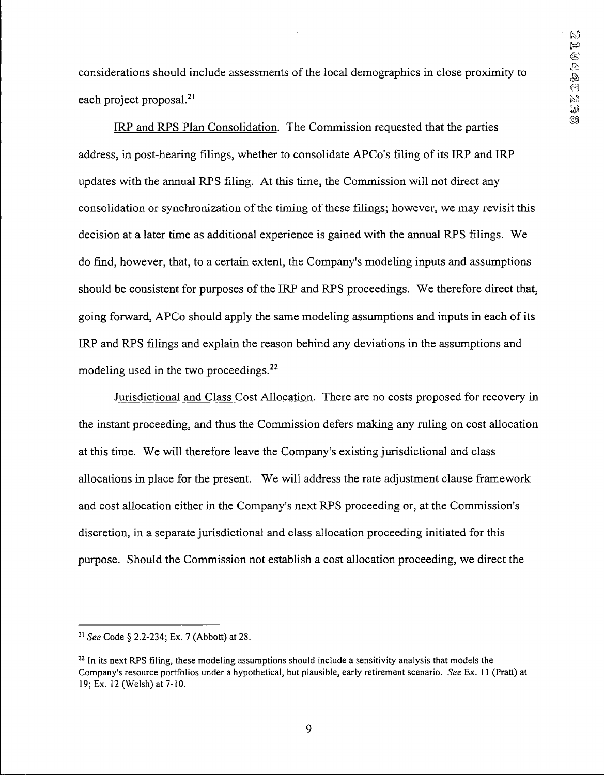considerations should include assessments ofthe local demographics in close proximity to each project proposal.<sup>21</sup>

IRP and RPS Plan Consolidation. The Commission requested that the parties  $\frac{69}{2}$ address, in post-hearing filings, whether to consolidate APCo's filing of its IRP and IRP updates with the annual RPS filing. At this time, the Commission will not direct any consolidation or synchronization of the timing of these filings; however, we may revisit this decision at a later time as additional experience is gained with the annual RPS filings. We do find, however, that, to a certain extent, the Company's modeling inputs and assumptions should be consistent for purposes of the IRP and RPS proceedings. We therefore direct that, going forward, APCo should apply the same modeling assumptions and inputs in each of its IRP and RPS filings and explain the reason behind any deviations in the assumptions and modeling used in the two proceedings.<sup>22</sup>

Jurisdictional and Class Cost Allocation. There are no costs proposed for recovery in the instant proceeding, and thus the Commission defers making any ruling on cost allocation at this time. We will therefore leave the Company's existing jurisdictional and class allocations in place for the present. We will address the rate adjustment clause framework and cost allocation either in the Company's next RPS proceeding or, at the Commission's discretion, in a separate jurisdictional and class allocation proceeding initiated for this purpose. Should the Commission not establish a cost allocation proceeding, we direct the

**<sup>21</sup>** *See* **Code § 2.2-234; Ex. 7 (Abbott) at 28.**

<sup>&</sup>lt;sup>22</sup> In its next RPS filing, these modeling assumptions should include a sensitivity analysis that models the Company's resource portfolios under a hypothetical, but plausible, early retirement scenario. See Ex. 11 (Pratt) at **19; Ex. 12 (Welsh) at 7-10.**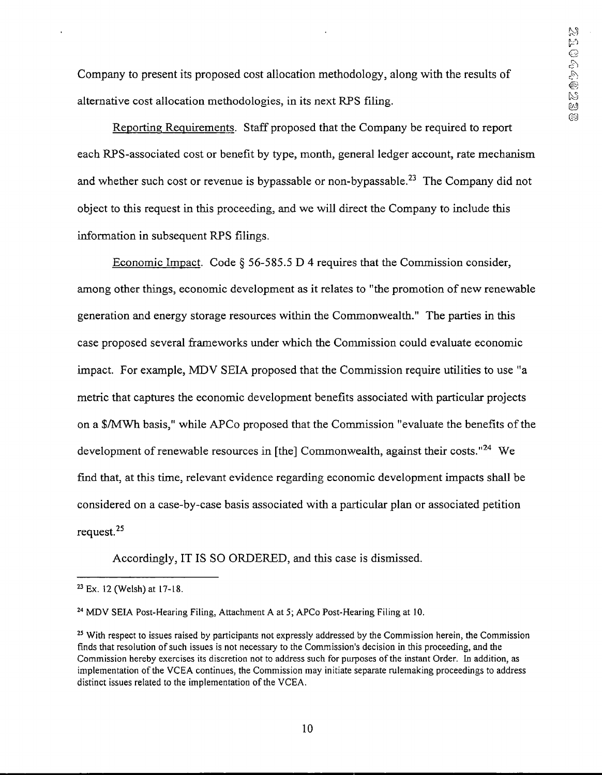Company to present its proposed cost allocation methodology, along with the results of alternative cost allocation methodologies, in its next RPS filing.

Reporting Requirements. Staff proposed that the Company be required to report each RPS-associated cost or benefit by type, month, general ledger account, rate mechanism and whether such cost or revenue is bypassable or non-bypassable.<sup>23</sup> The Company did not object to this request in this proceeding, and we will direct the Company to include this information in subsequent RPS filings.

Economic Impact. Code § 56-585.5 D 4 requires that the Commission consider, among other things, economic development as it relates to "the promotion of new renewable generation and energy storage resources within the Commonwealth." The parties in this case proposed several frameworks under which the Commission could evaluate economic impact. For example, MDV SEIA proposed that the Commission require utilities to use "a metric that captures the economic development benefits associated with particular projects on a \$/MWh basis," while APCo proposed that the Commission "evaluate the benefits of the development of renewable resources in [the] Commonwealth, against their costs."<sup>24</sup> We find that, at this time, relevant evidence regarding economic development impacts shall be considered on a case-by-case basis associated with a particular plan or associated petition request.25

Accordingly, IT IS SO ORDERED, and this case is dismissed.

**<sup>23</sup> Ex. 12 (Welsh) at 17-18.**

**<sup>24</sup> MDV SEIA Post-Hearing Filing, Attachment A at 5; APCo Post-Hearing Filing at 10.**

<sup>&</sup>lt;sup>25</sup> With respect to issues raised by participants not expressly addressed by the Commission herein, the Commission finds that resolution of such issues is not necessary to the Commission's decision in this proceeding, and the Commission hereby exercises its discretion not to address such for purposes of the instant Order. In addition, as **implementation ofthe VCEA continues, the Commission may initiate separate rulemaking proceedings to address distinct issues related to the implementation ofthe VCEA.**